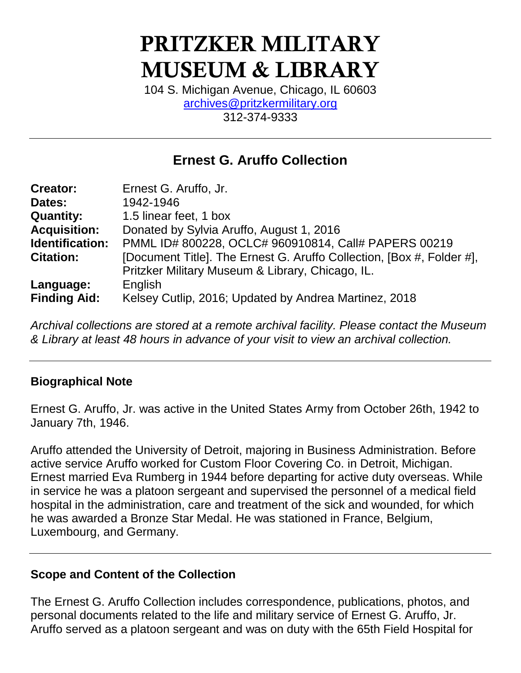# **PRITZKER MILITARY MUSEUM & LIBRARY**

104 S. Michigan Avenue, Chicago, IL 60603 [archives@pritzkermilitary.org](mailto:archives@pritzkermilitary.org) 312-374-9333

# **Ernest G. Aruffo Collection**

| <b>Creator:</b>     | Ernest G. Aruffo, Jr.                                                 |
|---------------------|-----------------------------------------------------------------------|
| Dates:              | 1942-1946                                                             |
| <b>Quantity:</b>    | 1.5 linear feet, 1 box                                                |
| <b>Acquisition:</b> | Donated by Sylvia Aruffo, August 1, 2016                              |
| Identification:     | PMML ID# 800228, OCLC# 960910814, Call# PAPERS 00219                  |
| <b>Citation:</b>    | [Document Title]. The Ernest G. Aruffo Collection, [Box #, Folder #], |
|                     | Pritzker Military Museum & Library, Chicago, IL.                      |
| Language:           | English                                                               |
| <b>Finding Aid:</b> | Kelsey Cutlip, 2016; Updated by Andrea Martinez, 2018                 |

*Archival collections are stored at a remote archival facility. Please contact the Museum & Library at least 48 hours in advance of your visit to view an archival collection.*

#### **Biographical Note**

Ernest G. Aruffo, Jr. was active in the United States Army from October 26th, 1942 to January 7th, 1946.

Aruffo attended the University of Detroit, majoring in Business Administration. Before active service Aruffo worked for Custom Floor Covering Co. in Detroit, Michigan. Ernest married Eva Rumberg in 1944 before departing for active duty overseas. While in service he was a platoon sergeant and supervised the personnel of a medical field hospital in the administration, care and treatment of the sick and wounded, for which he was awarded a Bronze Star Medal. He was stationed in France, Belgium, Luxembourg, and Germany.

#### **Scope and Content of the Collection**

The Ernest G. Aruffo Collection includes correspondence, publications, photos, and personal documents related to the life and military service of Ernest G. Aruffo, Jr. Aruffo served as a platoon sergeant and was on duty with the 65th Field Hospital for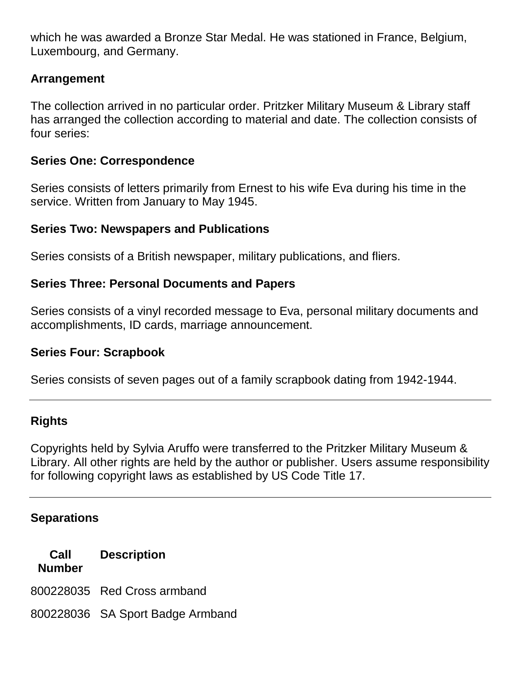which he was awarded a Bronze Star Medal. He was stationed in France, Belgium, Luxembourg, and Germany.

## **Arrangement**

The collection arrived in no particular order. Pritzker Military Museum & Library staff has arranged the collection according to material and date. The collection consists of four series:

#### **Series One: Correspondence**

Series consists of letters primarily from Ernest to his wife Eva during his time in the service. Written from January to May 1945.

#### **Series Two: Newspapers and Publications**

Series consists of a British newspaper, military publications, and fliers.

#### **Series Three: Personal Documents and Papers**

Series consists of a vinyl recorded message to Eva, personal military documents and accomplishments, ID cards, marriage announcement.

#### **Series Four: Scrapbook**

Series consists of seven pages out of a family scrapbook dating from 1942-1944.

#### **Rights**

Copyrights held by Sylvia Aruffo were transferred to the Pritzker Military Museum & Library. All other rights are held by the author or publisher. Users assume responsibility for following copyright laws as established by US Code Title 17.

#### **Separations**

**Call Number Description** 800228035 Red Cross armband

800228036 SA Sport Badge Armband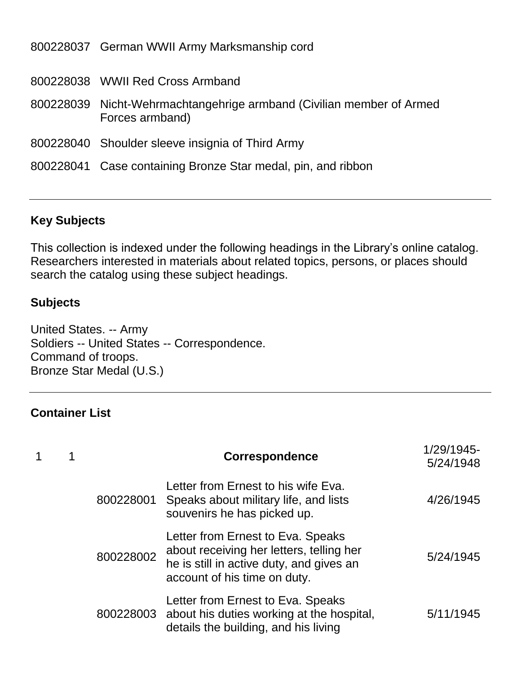| 800228037 German WWII Army Marksmanship cord                                            |
|-----------------------------------------------------------------------------------------|
| 800228038 WWII Red Cross Armband                                                        |
| 800228039 Nicht-Wehrmachtangehrige armband (Civilian member of Armed<br>Forces armband) |
| 800228040 Shoulder sleeve insignia of Third Army                                        |
| 800228041 Case containing Bronze Star medal, pin, and ribbon                            |

## **Key Subjects**

This collection is indexed under the following headings in the Library's online catalog. Researchers interested in materials about related topics, persons, or places should search the catalog using these subject headings.

#### **Subjects**

United States. -- Army Soldiers -- United States -- Correspondence. Command of troops. Bronze Star Medal (U.S.)

# **Container List**

|  |           | Correspondence                                                                                                                                            | 1/29/1945-<br>5/24/1948 |
|--|-----------|-----------------------------------------------------------------------------------------------------------------------------------------------------------|-------------------------|
|  | 800228001 | Letter from Ernest to his wife Eva.<br>Speaks about military life, and lists<br>souvenirs he has picked up.                                               | 4/26/1945               |
|  | 800228002 | Letter from Ernest to Eva. Speaks<br>about receiving her letters, telling her<br>he is still in active duty, and gives an<br>account of his time on duty. | 5/24/1945               |
|  |           | Letter from Ernest to Eva. Speaks<br>800228003 about his duties working at the hospital,<br>details the building, and his living                          | 5/11/1945               |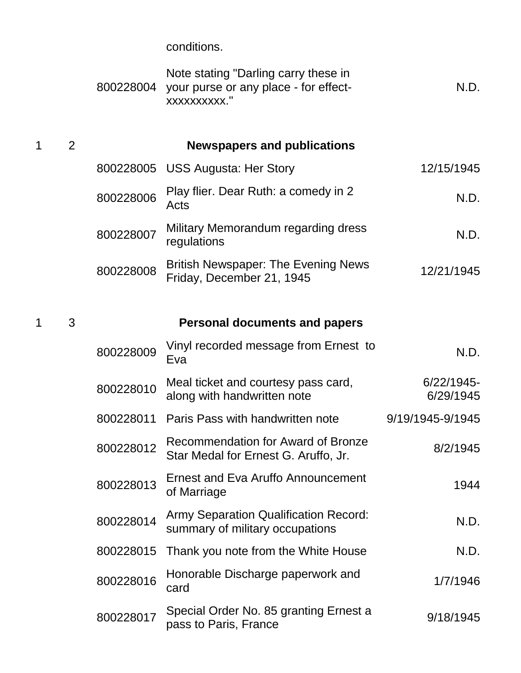conditions.

|   |                | 800228004 | Note stating "Darling carry these in<br>your purse or any place - for effect-<br>xxxxxxxxxx." | N.D.                       |
|---|----------------|-----------|-----------------------------------------------------------------------------------------------|----------------------------|
| 1 | $\overline{2}$ |           | <b>Newspapers and publications</b>                                                            |                            |
|   |                |           | 800228005 USS Augusta: Her Story                                                              | 12/15/1945                 |
|   |                | 800228006 | Play flier. Dear Ruth: a comedy in 2<br>Acts                                                  | N.D.                       |
|   |                | 800228007 | Military Memorandum regarding dress<br>regulations                                            | N.D.                       |
|   |                | 800228008 | <b>British Newspaper: The Evening News</b><br>Friday, December 21, 1945                       | 12/21/1945                 |
| 1 | 3              |           | <b>Personal documents and papers</b>                                                          |                            |
|   |                | 800228009 | Vinyl recorded message from Ernest to<br>Eva                                                  | N.D.                       |
|   |                | 800228010 | Meal ticket and courtesy pass card,<br>along with handwritten note                            | $6/22/1945$ -<br>6/29/1945 |
|   |                | 800228011 | Paris Pass with handwritten note                                                              | 9/19/1945-9/1945           |
|   |                | 800228012 | <b>Recommendation for Award of Bronze</b><br>Star Medal for Ernest G. Aruffo, Jr.             | 8/2/1945                   |
|   |                | 800228013 | <b>Ernest and Eva Aruffo Announcement</b><br>of Marriage                                      | 1944                       |
|   |                | 800228014 | <b>Army Separation Qualification Record:</b><br>summary of military occupations               | N.D.                       |
|   |                | 800228015 | Thank you note from the White House                                                           | N.D.                       |
|   |                | 800228016 | Honorable Discharge paperwork and<br>card                                                     | 1/7/1946                   |
|   |                | 800228017 | Special Order No. 85 granting Ernest a<br>pass to Paris, France                               | 9/18/1945                  |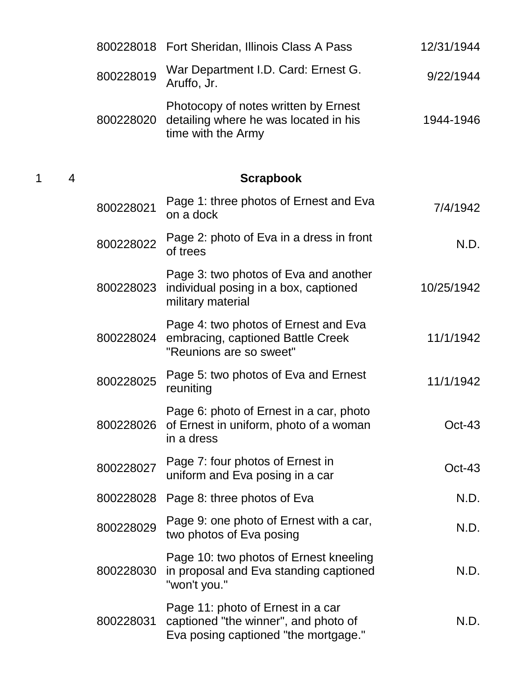|           | 800228018 Fort Sheridan, Illinois Class A Pass                                                                    | 12/31/1944 |
|-----------|-------------------------------------------------------------------------------------------------------------------|------------|
| 800228019 | War Department I.D. Card: Ernest G.<br>Aruffo, Jr.                                                                | 9/22/1944  |
| 800228020 | Photocopy of notes written by Ernest<br>detailing where he was located in his<br>time with the Army               | 1944-1946  |
|           | <b>Scrapbook</b>                                                                                                  |            |
| 800228021 | Page 1: three photos of Ernest and Eva<br>on a dock                                                               | 7/4/1942   |
| 800228022 | Page 2: photo of Eva in a dress in front<br>of trees                                                              | N.D.       |
| 800228023 | Page 3: two photos of Eva and another<br>individual posing in a box, captioned<br>military material               | 10/25/1942 |
| 800228024 | Page 4: two photos of Ernest and Eva<br>embracing, captioned Battle Creek<br>"Reunions are so sweet"              | 11/1/1942  |
| 800228025 | Page 5: two photos of Eva and Ernest<br>reuniting                                                                 | 11/1/1942  |
|           | Page 6: photo of Ernest in a car, photo<br>800228026 of Ernest in uniform, photo of a woman<br>in a dress         | $Oct-43$   |
| 800228027 | Page 7: four photos of Ernest in<br>uniform and Eva posing in a car                                               | $Oct-43$   |
| 800228028 | Page 8: three photos of Eva                                                                                       | N.D.       |
| 800228029 | Page 9: one photo of Ernest with a car,<br>two photos of Eva posing                                               | N.D.       |
| 800228030 | Page 10: two photos of Ernest kneeling<br>in proposal and Eva standing captioned<br>"won't you."                  | N.D.       |
| 800228031 | Page 11: photo of Ernest in a car<br>captioned "the winner", and photo of<br>Eva posing captioned "the mortgage." | N.D.       |

1 4 **Scrapbook**